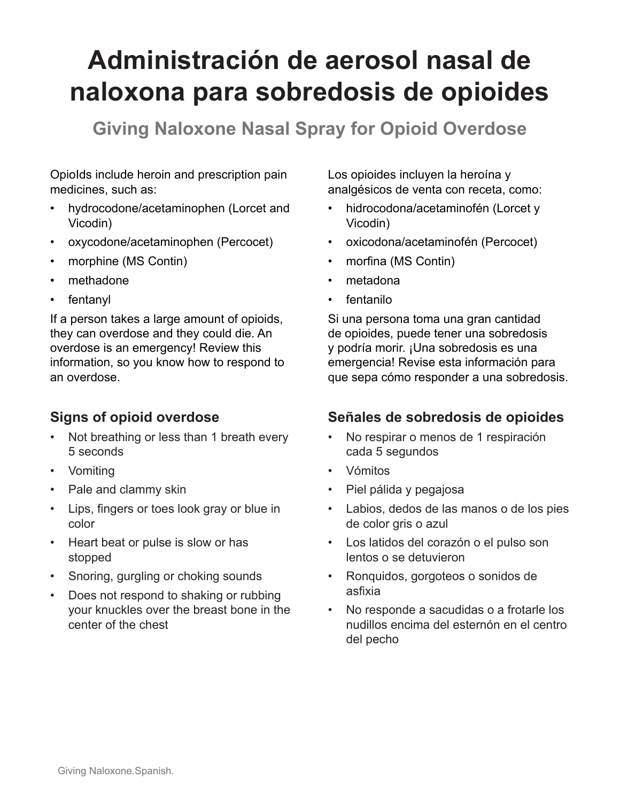# **Administración de aerosol nasal de naloxona para sobredosis de opioides**

**Giving Naloxone Nasal Spray for Opioid Overdose**

OpioIds include heroin and prescription pain medicines, such as:

- hydrocodone/acetaminophen (Lorcet and Vicodin)
- oxycodone/acetaminophen (Percocet)
- morphine (MS Contin)
- methadone
- **fentanyl**

If a person takes a large amount of opioids, they can overdose and they could die. An overdose is an emergency! Review this information, so you know how to respond to an overdose.

## **Signs of opioid overdose**

- Not breathing or less than 1 breath every 5 seconds
- Vomiting
- Pale and clammy skin
- Lips, fingers or toes look gray or blue in color
- Heart beat or pulse is slow or has stopped
- Snoring, gurgling or choking sounds
- Does not respond to shaking or rubbing your knuckles over the breast bone in the center of the chest

Los opioides incluyen la heroína y analgésicos de venta con receta, como:

- hidrocodona/acetaminofén (Lorcet y Vicodin)
- oxicodona/acetaminofén (Percocet)
- morfina (MS Contin)
- metadona
- fentanilo

Si una persona toma una gran cantidad de opioides, puede tener una sobredosis y podría morir. ¡Una sobredosis es una emergencia! Revise esta información para que sepa cómo responder a una sobredosis.

#### **Señales de sobredosis de opioides**

- No respirar o menos de 1 respiración cada 5 segundos
- Vómitos
- Piel pálida y pegajosa
- Labios, dedos de las manos o de los pies de color gris o azul
- Los latidos del corazón o el pulso son lentos o se detuvieron
- Ronquidos, gorgoteos o sonidos de asfixia
- No responde a sacudidas o a frotarle los nudillos encima del esternón en el centro del pecho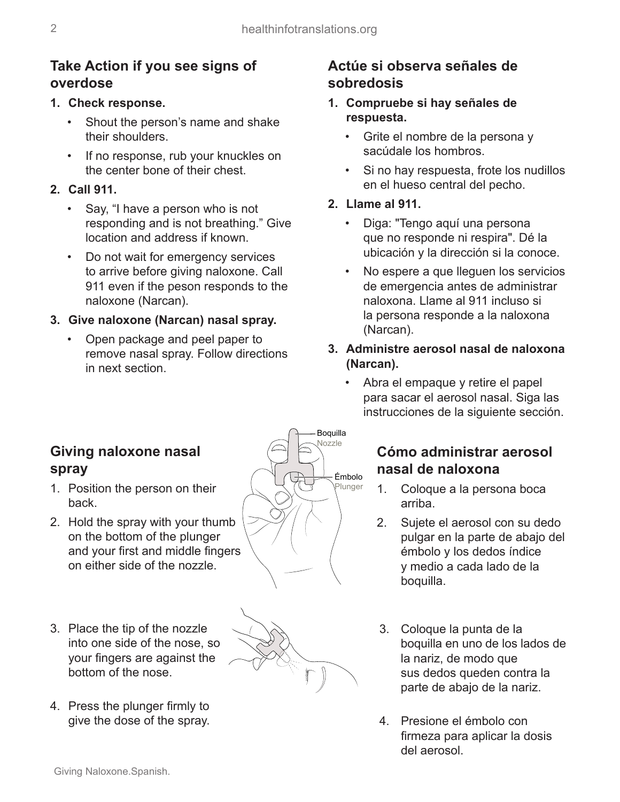## **Take Action if you see signs of overdose**

#### **1. Check response.**

- Shout the person's name and shake their shoulders.
- If no response, rub your knuckles on the center bone of their chest.

### **2. Call 911.**

- Say, "I have a person who is not responding and is not breathing." Give location and address if known.
- Do not wait for emergency services to arrive before giving naloxone. Call 911 even if the peson responds to the naloxone (Narcan).

#### **3. Give naloxone (Narcan) nasal spray.**

• Open package and peel paper to remove nasal spray. Follow directions in next section.

## **Actúe si observa señales de sobredosis**

- **1. Compruebe si hay señales de respuesta.**
	- Grite el nombre de la persona y sacúdale los hombros.
	- Si no hay respuesta, frote los nudillos en el hueso central del pecho.
- **2. Llame al 911.**
	- Diga: "Tengo aquí una persona que no responde ni respira". Dé la ubicación y la dirección si la conoce.
	- No espere a que lleguen los servicios de emergencia antes de administrar naloxona. Llame al 911 incluso si la persona responde a la naloxona (Narcan).
- **3. Administre aerosol nasal de naloxona (Narcan).**
	- Abra el empaque y retire el papel para sacar el aerosol nasal. Siga las instrucciones de la siguiente sección.

## **Giving naloxone nasal spray**

- 1. Position the person on their back.
- 2. Hold the spray with your thumb on the bottom of the plunger and your first and middle fingers on either side of the nozzle.
- 3. Place the tip of the nozzle into one side of the nose, so your fingers are against the bottom of the nose.
- 4. Press the plunger firmly to give the dose of the spray.





## **Cómo administrar aerosol nasal de naloxona**

- 1. Coloque a la persona boca arriba.
- 2. Sujete el aerosol con su dedo pulgar en la parte de abajo del émbolo y los dedos índice y medio a cada lado de la boquilla.
- 3. Coloque la punta de la boquilla en uno de los lados de la nariz, de modo que sus dedos queden contra la parte de abajo de la nariz.
- 4. Presione el émbolo con firmeza para aplicar la dosis del aerosol.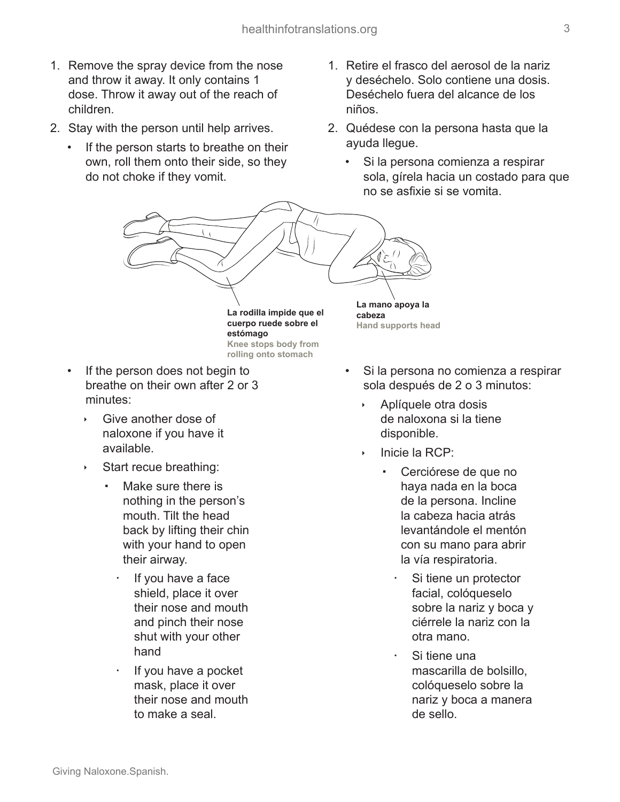- 1. Remove the spray device from the nose and throw it away. It only contains 1 dose. Throw it away out of the reach of children.
- 2. Stay with the person until help arrives.
	- If the person starts to breathe on their own, roll them onto their side, so they do not choke if they vomit.
- 1. Retire el frasco del aerosol de la nariz y deséchelo. Solo contiene una dosis. Deséchelo fuera del alcance de los niños.
- 2. Quédese con la persona hasta que la ayuda llegue.
	- Si la persona comienza a respirar sola, gírela hacia un costado para que no se asfixie si se vomita.



**cuerpo ruede sobre el estómago Knee stops body from**

**rolling onto stomach**

- If the person does not begin to breathe on their own after 2 or 3 minutes:
	- Give another dose of naloxone if you have it available.
	- Start recue breathing:
		- Make sure there is nothing in the person's mouth. Tilt the head back by lifting their chin with your hand to open their airway.
			- If you have a face shield, place it over their nose and mouth and pinch their nose shut with your other hand
			- If you have a pocket mask, place it over their nose and mouth to make a seal.
- Si la persona no comienza a respirar sola después de 2 o 3 minutos:
	- Aplíquele otra dosis de naloxona si la tiene disponible.
	- Inicie la RCP:

**Hand supports head**

- Cerciórese de que no haya nada en la boca de la persona. Incline la cabeza hacia atrás levantándole el mentón con su mano para abrir la vía respiratoria.
	- Si tiene un protector facial, colóqueselo sobre la nariz y boca y ciérrele la nariz con la otra mano.
	- Si tiene una mascarilla de bolsillo, colóqueselo sobre la nariz y boca a manera de sello.